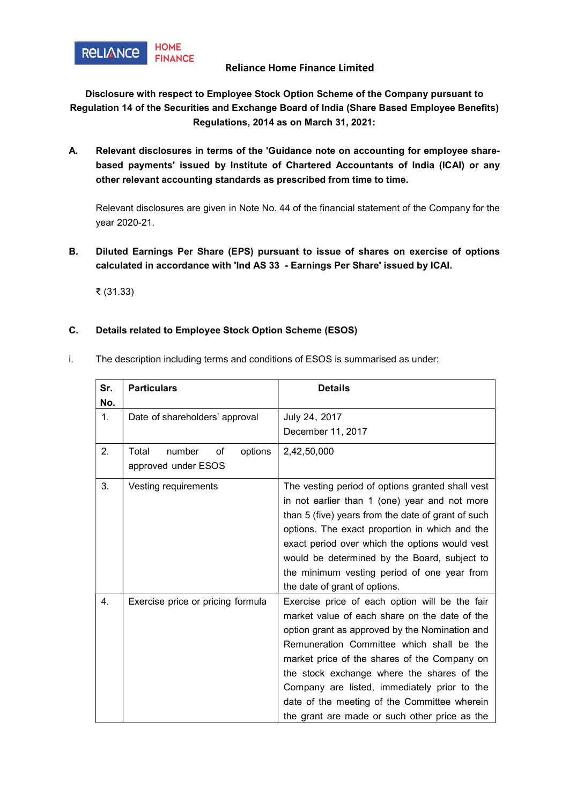

## Reliance Home Finance Limited

Disclosure with respect to Employee Stock Option Scheme of the Company pursuant to Regulation 14 of the Securities and Exchange Board of India (Share Based Employee Benefits) Regulations, 2014 as on March 31, 2021:

A. Relevant disclosures in terms of the 'Guidance note on accounting for employee sharebased payments' issued by Institute of Chartered Accountants of India (ICAI) or any other relevant accounting standards as prescribed from time to time.

Relevant disclosures are given in Note No. 44 of the financial statement of the Company for the year 2020-21.

B. Diluted Earnings Per Share (EPS) pursuant to issue of shares on exercise of options calculated in accordance with 'Ind AS 33 - Earnings Per Share' issued by ICAI.

₹ (31.33)

## C. Details related to Employee Stock Option Scheme (ESOS)

i. The description including terms and conditions of ESOS is summarised as under:

| Sr.<br>No.     | <b>Particulars</b>                                      | <b>Details</b>                                                                                                                                                                                                                                                                                                                                                                                                                                |
|----------------|---------------------------------------------------------|-----------------------------------------------------------------------------------------------------------------------------------------------------------------------------------------------------------------------------------------------------------------------------------------------------------------------------------------------------------------------------------------------------------------------------------------------|
| $\mathbf{1}$ . | Date of shareholders' approval                          | July 24, 2017<br>December 11, 2017                                                                                                                                                                                                                                                                                                                                                                                                            |
| 2.             | Total<br>number<br>of<br>options<br>approved under ESOS | 2,42,50,000                                                                                                                                                                                                                                                                                                                                                                                                                                   |
| 3.             | Vesting requirements                                    | The vesting period of options granted shall vest<br>in not earlier than 1 (one) year and not more<br>than 5 (five) years from the date of grant of such<br>options. The exact proportion in which and the<br>exact period over which the options would vest<br>would be determined by the Board, subject to<br>the minimum vesting period of one year from<br>the date of grant of options.                                                   |
| 4 <sup>1</sup> | Exercise price or pricing formula                       | Exercise price of each option will be the fair<br>market value of each share on the date of the<br>option grant as approved by the Nomination and<br>Remuneration Committee which shall be the<br>market price of the shares of the Company on<br>the stock exchange where the shares of the<br>Company are listed, immediately prior to the<br>date of the meeting of the Committee wherein<br>the grant are made or such other price as the |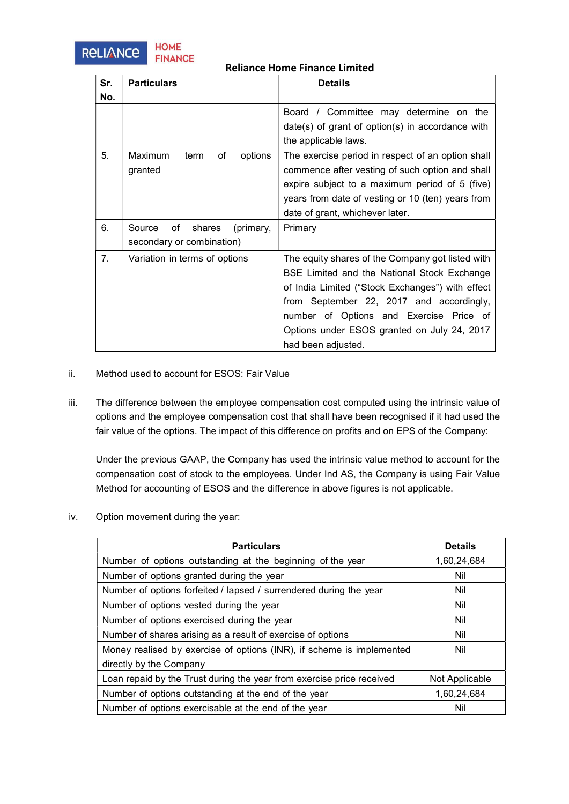



## Reliance Home Finance Limited

| Sr. | <b>Particulars</b>                  | <b>Details</b>                                     |
|-----|-------------------------------------|----------------------------------------------------|
| No. |                                     |                                                    |
|     |                                     | Board / Committee may determine on the             |
|     |                                     | $date(s)$ of grant of option(s) in accordance with |
|     |                                     | the applicable laws.                               |
| 5.  | Maximum<br>of<br>options<br>term    | The exercise period in respect of an option shall  |
|     | granted                             | commence after vesting of such option and shall    |
|     |                                     | expire subject to a maximum period of 5 (five)     |
|     |                                     | years from date of vesting or 10 (ten) years from  |
|     |                                     | date of grant, whichever later.                    |
| 6.  | Source<br>shares<br>оf<br>(primary, | Primary                                            |
|     | secondary or combination)           |                                                    |
| 7.  | Variation in terms of options       | The equity shares of the Company got listed with   |
|     |                                     | BSE Limited and the National Stock Exchange        |
|     |                                     | of India Limited ("Stock Exchanges") with effect   |
|     |                                     | from September 22, 2017 and accordingly,           |
|     |                                     | number of Options and Exercise Price of            |
|     |                                     | Options under ESOS granted on July 24, 2017        |
|     |                                     | had been adjusted.                                 |

- ii. Method used to account for ESOS: Fair Value
- iii. The difference between the employee compensation cost computed using the intrinsic value of options and the employee compensation cost that shall have been recognised if it had used the fair value of the options. The impact of this difference on profits and on EPS of the Company:

Under the previous GAAP, the Company has used the intrinsic value method to account for the compensation cost of stock to the employees. Under Ind AS, the Company is using Fair Value Method for accounting of ESOS and the difference in above figures is not applicable.

iv. Option movement during the year:

| <b>Particulars</b>                                                    | <b>Details</b> |
|-----------------------------------------------------------------------|----------------|
| Number of options outstanding at the beginning of the year            | 1,60,24,684    |
| Number of options granted during the year                             | Nil            |
| Number of options forfeited / lapsed / surrendered during the year    | Nil            |
| Number of options vested during the year                              | Nil            |
| Number of options exercised during the year                           | Nil            |
| Number of shares arising as a result of exercise of options           | Nil            |
| Money realised by exercise of options (INR), if scheme is implemented | Nil            |
| directly by the Company                                               |                |
| Loan repaid by the Trust during the year from exercise price received | Not Applicable |
| Number of options outstanding at the end of the year                  | 1,60,24,684    |
| Number of options exercisable at the end of the year                  | Nil            |